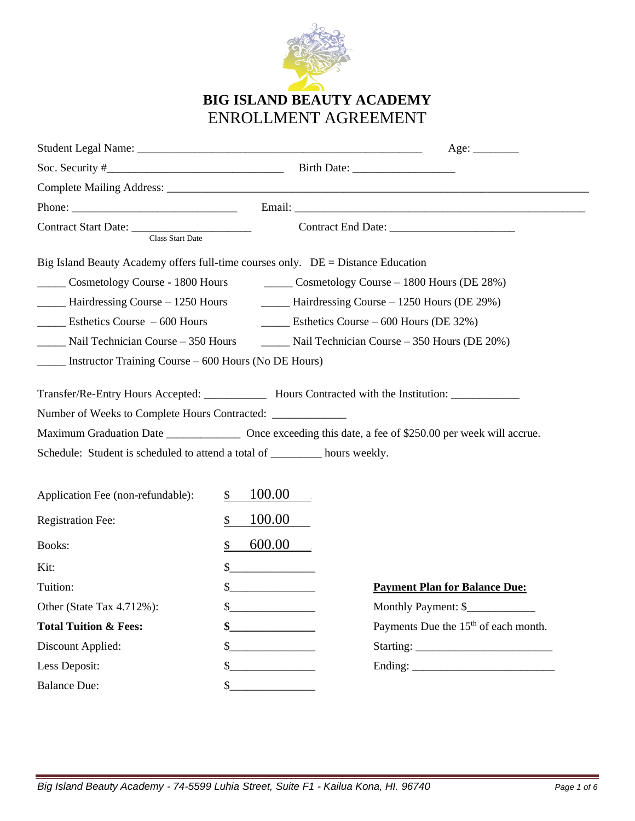

# **BIG ISLAND BEAUTY ACADEMY**  ENROLLMENT AGREEMENT

| Phone: $\frac{1}{2}$                                                                                                                                            |     |                          |                                                                                                                 |  |
|-----------------------------------------------------------------------------------------------------------------------------------------------------------------|-----|--------------------------|-----------------------------------------------------------------------------------------------------------------|--|
| Class Start Date                                                                                                                                                |     |                          |                                                                                                                 |  |
| Big Island Beauty Academy offers full-time courses only. DE = Distance Education                                                                                |     |                          |                                                                                                                 |  |
|                                                                                                                                                                 |     |                          | Cosmetology Course - 1800 Hours Cosmetology Course - 1800 Hours (DE 28%)                                        |  |
| _____ Hairdressing Course – 1250 Hours                                                                                                                          |     |                          | $\frac{1}{2}$ Hairdressing Course – 1250 Hours (DE 29%)                                                         |  |
| $\frac{1}{2}$ Esthetics Course $-600$ Hours                                                                                                                     |     |                          | <b>Esthetics Course – 600 Hours (DE 32%)</b>                                                                    |  |
|                                                                                                                                                                 |     |                          | Nail Technician Course – 350 Hours – Nail Technician Course – 350 Hours (DE 20%)                                |  |
| $\frac{1}{2}$ Instructor Training Course – 600 Hours (No DE Hours)                                                                                              |     |                          |                                                                                                                 |  |
| Number of Weeks to Complete Hours Contracted: ___________________________________<br>Schedule: Student is scheduled to attend a total of ________ hours weekly. |     |                          | Maximum Graduation Date _____________________ Once exceeding this date, a fee of \$250.00 per week will accrue. |  |
| Application Fee (non-refundable):                                                                                                                               | \$  | 100.00                   |                                                                                                                 |  |
| <b>Registration Fee:</b>                                                                                                                                        | \$  | 100.00                   |                                                                                                                 |  |
| <b>Books:</b>                                                                                                                                                   | \$  | 600.00                   |                                                                                                                 |  |
| Kit:                                                                                                                                                            | \$  |                          |                                                                                                                 |  |
| Tuition:                                                                                                                                                        | \$  |                          | <b>Payment Plan for Balance Due:</b>                                                                            |  |
| Other (State Tax 4.712%):                                                                                                                                       | \$  |                          | Monthly Payment: \$                                                                                             |  |
| <b>Total Tuition &amp; Fees:</b>                                                                                                                                | \$  |                          | Payments Due the 15 <sup>th</sup> of each month.                                                                |  |
| Discount Applied:                                                                                                                                               | \$  | $\overline{\phantom{a}}$ |                                                                                                                 |  |
| Less Deposit:                                                                                                                                                   | \$_ |                          |                                                                                                                 |  |
| <b>Balance Due:</b>                                                                                                                                             |     |                          |                                                                                                                 |  |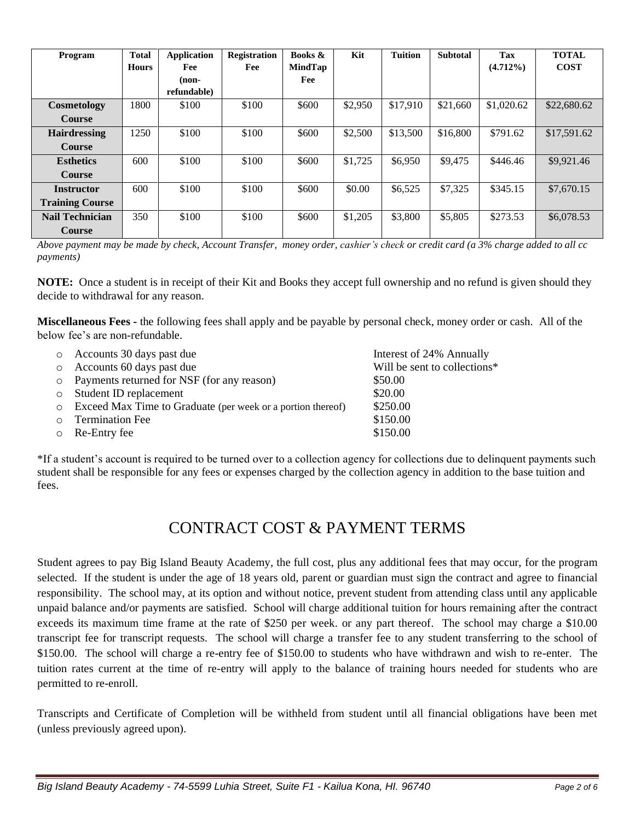| Program                | <b>Total</b> | <b>Application</b> | <b>Registration</b> | Books &        | Kit     | <b>Tuition</b> | <b>Subtotal</b> | <b>Tax</b>  | <b>TOTAL</b> |
|------------------------|--------------|--------------------|---------------------|----------------|---------|----------------|-----------------|-------------|--------------|
|                        | <b>Hours</b> | Fee                | Fee                 | <b>MindTap</b> |         |                |                 | $(4.712\%)$ | <b>COST</b>  |
|                        |              | $non-$             |                     | Fee            |         |                |                 |             |              |
|                        |              | refundable)        |                     |                |         |                |                 |             |              |
| Cosmetology            | 1800         | \$100              | \$100               | \$600          | \$2,950 | \$17,910       | \$21,660        | \$1,020.62  | \$22,680.62  |
| <b>Course</b>          |              |                    |                     |                |         |                |                 |             |              |
| <b>Hairdressing</b>    | 1250         | \$100              | \$100               | \$600          | \$2,500 | \$13,500       | \$16,800        | \$791.62    | \$17,591.62  |
| <b>Course</b>          |              |                    |                     |                |         |                |                 |             |              |
| <b>Esthetics</b>       | 600          | \$100              | \$100               | \$600          | \$1,725 | \$6,950        | \$9,475         | \$446.46    | \$9,921.46   |
| <b>Course</b>          |              |                    |                     |                |         |                |                 |             |              |
| <b>Instructor</b>      | 600          | \$100              | \$100               | \$600          | \$0.00  | \$6,525        | \$7,325         | \$345.15    | \$7,670.15   |
| <b>Training Course</b> |              |                    |                     |                |         |                |                 |             |              |
| <b>Nail Technician</b> | 350          | \$100              | \$100               | \$600          | \$1,205 | \$3,800        | \$5,805         | \$273.53    | \$6,078.53   |
| <b>Course</b>          |              |                    |                     |                |         |                |                 |             |              |

*Above payment may be made by check, Account Transfer, money order, cashier's check or credit card (a 3% charge added to all cc payments)*

**NOTE:** Once a student is in receipt of their Kit and Books they accept full ownership and no refund is given should they decide to withdrawal for any reason.

**Miscellaneous Fees -** the following fees shall apply and be payable by personal check, money order or cash. All of the below fee's are non-refundable.

| $\circ$ | Accounts 30 days past due                                   | Interest of 24% Annually     |
|---------|-------------------------------------------------------------|------------------------------|
| $\circ$ | Accounts 60 days past due                                   | Will be sent to collections* |
| $\circ$ | Payments returned for NSF (for any reason)                  | \$50.00                      |
| $\circ$ | Student ID replacement                                      | \$20.00                      |
| $\circ$ | Exceed Max Time to Graduate (per week or a portion thereof) | \$250.00                     |
| $\circ$ | <b>Termination Fee</b>                                      | \$150.00                     |
| $\circ$ | Re-Entry fee                                                | \$150.00                     |
|         |                                                             |                              |

\*If a student's account is required to be turned over to a collection agency for collections due to delinquent payments such student shall be responsible for any fees or expenses charged by the collection agency in addition to the base tuition and fees.

# CONTRACT COST & PAYMENT TERMS

Student agrees to pay Big Island Beauty Academy, the full cost, plus any additional fees that may occur, for the program selected. If the student is under the age of 18 years old, parent or guardian must sign the contract and agree to financial responsibility. The school may, at its option and without notice, prevent student from attending class until any applicable unpaid balance and/or payments are satisfied. School will charge additional tuition for hours remaining after the contract exceeds its maximum time frame at the rate of \$250 per week. or any part thereof. The school may charge a \$10.00 transcript fee for transcript requests. The school will charge a transfer fee to any student transferring to the school of \$150.00. The school will charge a re-entry fee of \$150.00 to students who have withdrawn and wish to re-enter. The tuition rates current at the time of re-entry will apply to the balance of training hours needed for students who are permitted to re-enroll.

Transcripts and Certificate of Completion will be withheld from student until all financial obligations have been met (unless previously agreed upon).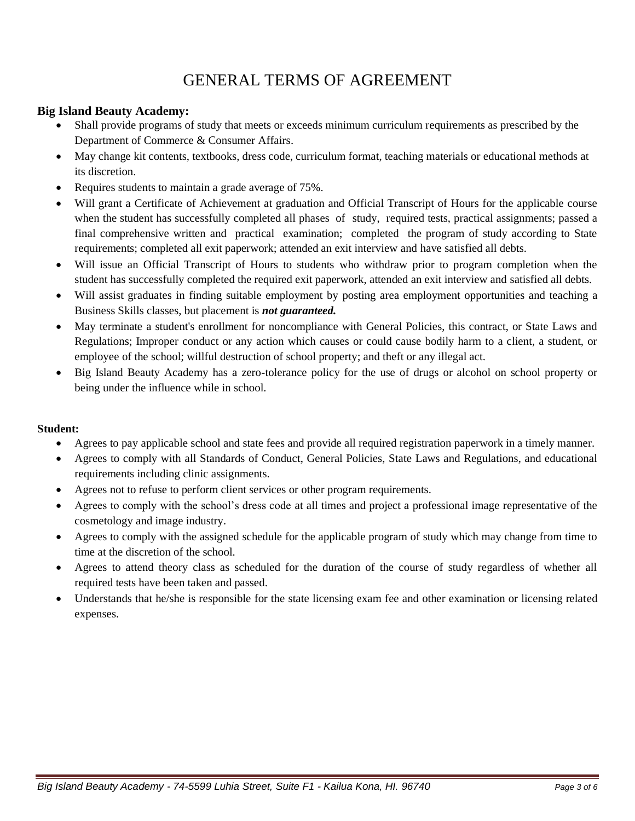# GENERAL TERMS OF AGREEMENT

### **Big Island Beauty Academy:**

- Shall provide programs of study that meets or exceeds minimum curriculum requirements as prescribed by the Department of Commerce & Consumer Affairs.
- May change kit contents, textbooks, dress code, curriculum format, teaching materials or educational methods at its discretion.
- Requires students to maintain a grade average of 75%.
- Will grant a Certificate of Achievement at graduation and Official Transcript of Hours for the applicable course when the student has successfully completed all phases of study, required tests, practical assignments; passed a final comprehensive written and practical examination; completed the program of study according to State requirements; completed all exit paperwork; attended an exit interview and have satisfied all debts.
- Will issue an Official Transcript of Hours to students who withdraw prior to program completion when the student has successfully completed the required exit paperwork, attended an exit interview and satisfied all debts.
- Will assist graduates in finding suitable employment by posting area employment opportunities and teaching a Business Skills classes, but placement is *not guaranteed.*
- May terminate a student's enrollment for noncompliance with General Policies, this contract, or State Laws and Regulations; Improper conduct or any action which causes or could cause bodily harm to a client, a student, or employee of the school; willful destruction of school property; and theft or any illegal act.
- Big Island Beauty Academy has a zero-tolerance policy for the use of drugs or alcohol on school property or being under the influence while in school.

#### **Student:**

- Agrees to pay applicable school and state fees and provide all required registration paperwork in a timely manner.
- Agrees to comply with all Standards of Conduct, General Policies, State Laws and Regulations, and educational requirements including clinic assignments.
- Agrees not to refuse to perform client services or other program requirements.
- Agrees to comply with the school's dress code at all times and project a professional image representative of the cosmetology and image industry.
- Agrees to comply with the assigned schedule for the applicable program of study which may change from time to time at the discretion of the school.
- Agrees to attend theory class as scheduled for the duration of the course of study regardless of whether all required tests have been taken and passed.
- Understands that he/she is responsible for the state licensing exam fee and other examination or licensing related expenses.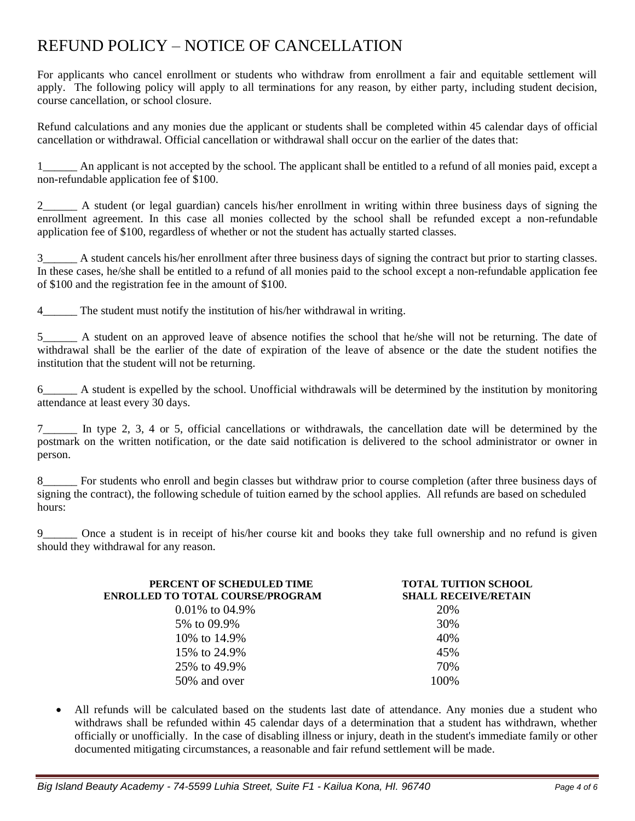# REFUND POLICY – NOTICE OF CANCELLATION

For applicants who cancel enrollment or students who withdraw from enrollment a fair and equitable settlement will apply. The following policy will apply to all terminations for any reason, by either party, including student decision, course cancellation, or school closure.

Refund calculations and any monies due the applicant or students shall be completed within 45 calendar days of official cancellation or withdrawal. Official cancellation or withdrawal shall occur on the earlier of the dates that:

1\_\_\_\_\_\_ An applicant is not accepted by the school. The applicant shall be entitled to a refund of all monies paid, except a non-refundable application fee of \$100.

2\_\_\_\_\_ A student (or legal guardian) cancels his/her enrollment in writing within three business days of signing the enrollment agreement. In this case all monies collected by the school shall be refunded except a non-refundable application fee of \$100, regardless of whether or not the student has actually started classes.

3\_\_\_\_\_\_ A student cancels his/her enrollment after three business days of signing the contract but prior to starting classes. In these cases, he/she shall be entitled to a refund of all monies paid to the school except a non-refundable application fee of \$100 and the registration fee in the amount of \$100.

4\_\_\_\_\_\_ The student must notify the institution of his/her withdrawal in writing.

5\_\_\_\_\_\_ A student on an approved leave of absence notifies the school that he/she will not be returning. The date of withdrawal shall be the earlier of the date of expiration of the leave of absence or the date the student notifies the institution that the student will not be returning.

6\_\_\_\_\_\_ A student is expelled by the school. Unofficial withdrawals will be determined by the institution by monitoring attendance at least every 30 days.

7\_\_\_\_\_\_ In type 2, 3, 4 or 5, official cancellations or withdrawals, the cancellation date will be determined by the postmark on the written notification, or the date said notification is delivered to the school administrator or owner in person.

8\_\_\_\_\_\_ For students who enroll and begin classes but withdraw prior to course completion (after three business days of signing the contract), the following schedule of tuition earned by the school applies. All refunds are based on scheduled hours:

Once a student is in receipt of his/her course kit and books they take full ownership and no refund is given should they withdrawal for any reason.

| PERCENT OF SCHEDULED TIME<br><b>ENROLLED TO TOTAL COURSE/PROGRAM</b> | <b>TOTAL TUITION SCHOOL</b><br><b>SHALL RECEIVE/RETAIN</b> |
|----------------------------------------------------------------------|------------------------------------------------------------|
| $0.01\%$ to 04.9%                                                    | 20%                                                        |
| 5\% to 09.9\%                                                        | 30%                                                        |
| 10\% to 14.9\%                                                       | 40%                                                        |
| 15\% to 24.9\%                                                       | 45%                                                        |
| 25% to 49.9%                                                         | 70%                                                        |
| 50% and over                                                         | 100\%                                                      |

All refunds will be calculated based on the students last date of attendance. Any monies due a student who withdraws shall be refunded within 45 calendar days of a determination that a student has withdrawn, whether officially or unofficially. In the case of disabling illness or injury, death in the student's immediate family or other documented mitigating circumstances, a reasonable and fair refund settlement will be made.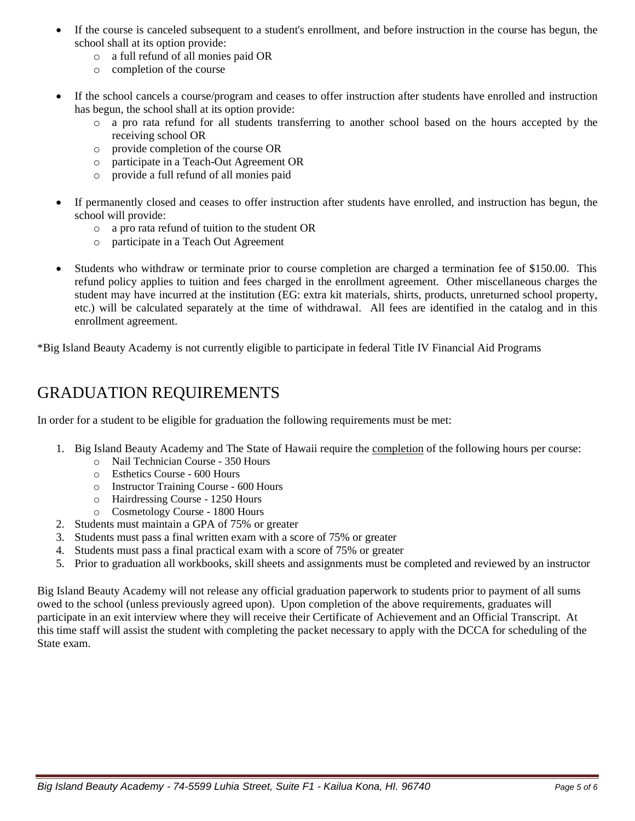- If the course is canceled subsequent to a student's enrollment, and before instruction in the course has begun, the school shall at its option provide:
	- o a full refund of all monies paid OR
	- o completion of the course
- If the school cancels a course/program and ceases to offer instruction after students have enrolled and instruction has begun, the school shall at its option provide:
	- o a pro rata refund for all students transferring to another school based on the hours accepted by the receiving school OR
	- o provide completion of the course OR
	- o participate in a Teach-Out Agreement OR
	- o provide a full refund of all monies paid
- If permanently closed and ceases to offer instruction after students have enrolled, and instruction has begun, the school will provide:
	- o a pro rata refund of tuition to the student OR
	- o participate in a Teach Out Agreement
- Students who withdraw or terminate prior to course completion are charged a termination fee of \$150.00. This refund policy applies to tuition and fees charged in the enrollment agreement. Other miscellaneous charges the student may have incurred at the institution (EG: extra kit materials, shirts, products, unreturned school property, etc.) will be calculated separately at the time of withdrawal. All fees are identified in the catalog and in this enrollment agreement.

\*Big Island Beauty Academy is not currently eligible to participate in federal Title IV Financial Aid Programs

# GRADUATION REQUIREMENTS

In order for a student to be eligible for graduation the following requirements must be met:

- 1. Big Island Beauty Academy and The State of Hawaii require the completion of the following hours per course:
	- o Nail Technician Course 350 Hours
	- o Esthetics Course 600 Hours
	- o Instructor Training Course 600 Hours
	- o Hairdressing Course 1250 Hours
	- o Cosmetology Course 1800 Hours
- 2. Students must maintain a GPA of 75% or greater
- 3. Students must pass a final written exam with a score of 75% or greater
- 4. Students must pass a final practical exam with a score of 75% or greater
- 5. Prior to graduation all workbooks, skill sheets and assignments must be completed and reviewed by an instructor

Big Island Beauty Academy will not release any official graduation paperwork to students prior to payment of all sums owed to the school (unless previously agreed upon). Upon completion of the above requirements, graduates will participate in an exit interview where they will receive their Certificate of Achievement and an Official Transcript. At this time staff will assist the student with completing the packet necessary to apply with the DCCA for scheduling of the State exam.